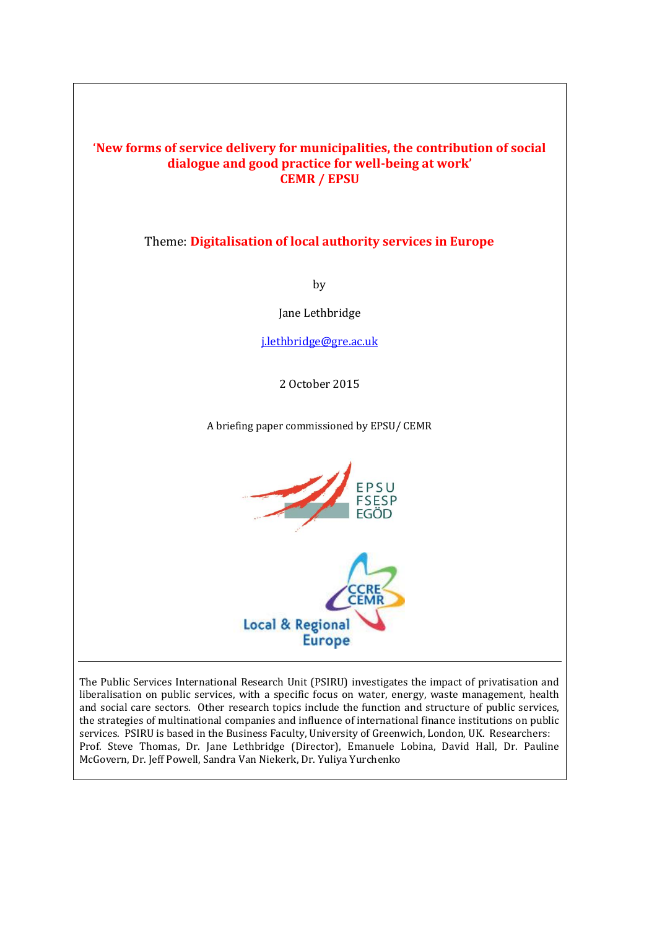### '**New forms of service delivery for municipalities, the contribution of social dialogue and good practice for well-being at work' CEMR / EPSU**

### Theme: **Digitalisation of local authority services in Europe**

by

Jane Lethbridge

[j.lethbridge@gre.ac.uk](mailto:j.lethbridge@gre.ac.uk)

2 October 2015

A briefing paper commissioned by EPSU/ CEMR



The Public Services International Research Unit (PSIRU) investigates the impact of privatisation and liberalisation on public services, with a specific focus on water, energy, waste management, health and social care sectors. Other research topics include the function and structure of public services, the strategies of multinational companies and influence of international finance institutions on public services. PSIRU is based in the Business Faculty, University of Greenwich, London, UK. Researchers: Prof. Steve Thomas, Dr. Jane Lethbridge (Director), Emanuele Lobina, David Hall, Dr. Pauline McGovern, Dr. Jeff Powell, Sandra Van Niekerk, Dr. Yuliya Yurchenko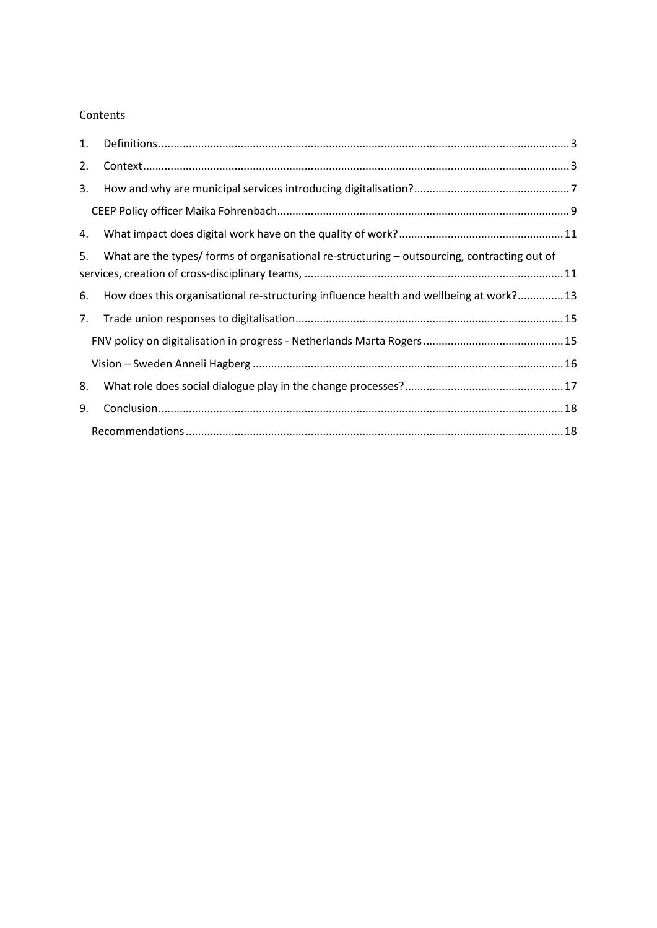### Contents

| 1. |                                                                                              |  |
|----|----------------------------------------------------------------------------------------------|--|
| 2. |                                                                                              |  |
| 3. |                                                                                              |  |
|    |                                                                                              |  |
| 4. |                                                                                              |  |
| 5. | What are the types/ forms of organisational re-structuring – outsourcing, contracting out of |  |
| 6. | How does this organisational re-structuring influence health and wellbeing at work? 13       |  |
| 7. |                                                                                              |  |
|    |                                                                                              |  |
|    |                                                                                              |  |
| 8. |                                                                                              |  |
| 9. |                                                                                              |  |
|    |                                                                                              |  |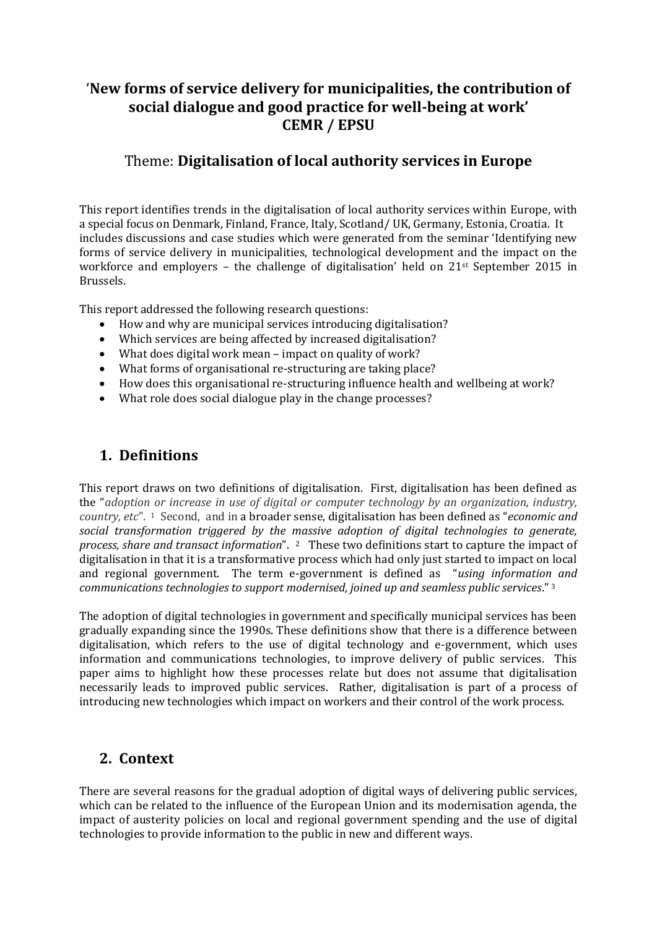# '**New forms of service delivery for municipalities, the contribution of social dialogue and good practice for well-being at work' CEMR / EPSU**

## Theme: **Digitalisation of local authority services in Europe**

This report identifies trends in the digitalisation of local authority services within Europe, with a special focus on Denmark, Finland, France, Italy, Scotland/ UK, Germany, Estonia, Croatia. It includes discussions and case studies which were generated from the seminar 'Identifying new forms of service delivery in municipalities, technological development and the impact on the workforce and employers – the challenge of digitalisation' held on 21st September 2015 in Brussels.

This report addressed the following research questions:

- How and why are municipal services introducing digitalisation?
- Which services are being affected by increased digitalisation?
- What does digital work mean impact on quality of work?
- What forms of organisational re-structuring are taking place?
- How does this organisational re-structuring influence health and wellbeing at work?
- What role does social dialogue play in the change processes?

# <span id="page-2-0"></span>**1. Definitions**

This report draws on two definitions of digitalisation. First, digitalisation has been defined as the "*adoption or increase in use of digital or computer technology by an organization, industry, country, etc*". 1 Second, and in a broader sense, digitalisation has been defined as "*economic and social transformation triggered by the massive adoption of digital technologies to generate, process, share and transact information*". 2 These two definitions start to capture the impact of digitalisation in that it is a transformative process which had only just started to impact on local and regional government. The term e-government is defined as "*using information and communications technologies to support modernised, joined up and seamless public services*." <sup>3</sup>

The adoption of digital technologies in government and specifically municipal services has been gradually expanding since the 1990s. These definitions show that there is a difference between digitalisation, which refers to the use of digital technology and e-government, which uses information and communications technologies, to improve delivery of public services. This paper aims to highlight how these processes relate but does not assume that digitalisation necessarily leads to improved public services. Rather, digitalisation is part of a process of introducing new technologies which impact on workers and their control of the work process.

## <span id="page-2-1"></span>**2. Context**

There are several reasons for the gradual adoption of digital ways of delivering public services, which can be related to the influence of the European Union and its modernisation agenda, the impact of austerity policies on local and regional government spending and the use of digital technologies to provide information to the public in new and different ways.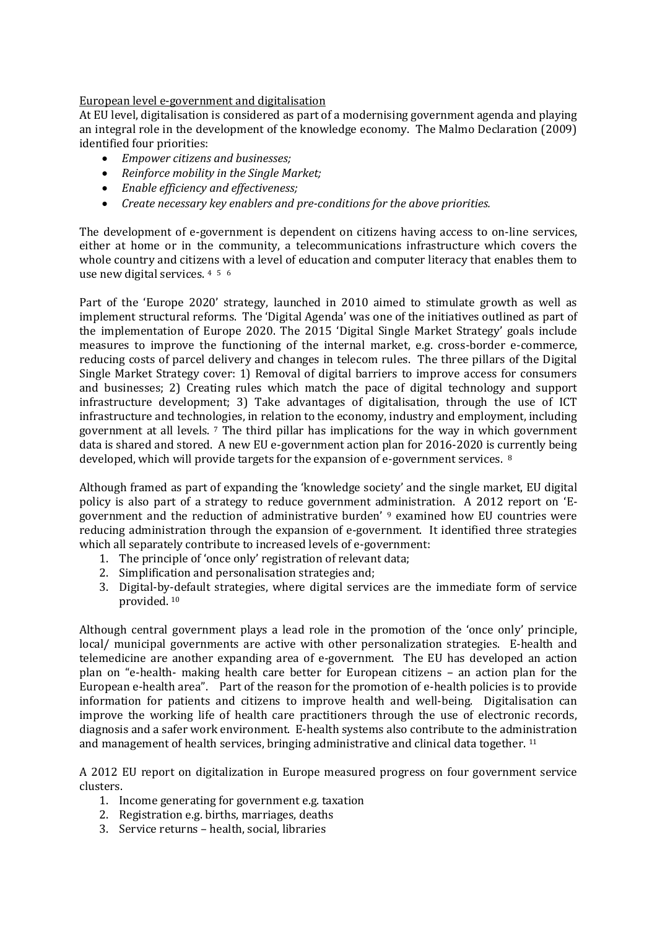#### European level e-government and digitalisation

At EU level, digitalisation is considered as part of a modernising government agenda and playing an integral role in the development of the knowledge economy. The Malmo Declaration (2009) identified four priorities:

- *Empower citizens and businesses;*
- *Reinforce mobility in the Single Market;*
- *Enable efficiency and effectiveness;*
- *Create necessary key enablers and pre‐conditions for the above priorities.*

The development of e-government is dependent on citizens having access to on-line services, either at home or in the community, a telecommunications infrastructure which covers the whole country and citizens with a level of education and computer literacy that enables them to use new digital services. <sup>4</sup> 5 6

Part of the 'Europe 2020' strategy, launched in 2010 aimed to stimulate growth as well as implement structural reforms. The 'Digital Agenda' was one of the initiatives outlined as part of the implementation of Europe 2020. The 2015 'Digital Single Market Strategy' goals include measures to improve the functioning of the internal market, e.g. cross-border e-commerce, reducing costs of parcel delivery and changes in telecom rules. The three pillars of the Digital Single Market Strategy cover: 1) Removal of digital barriers to improve access for consumers and businesses; 2) Creating rules which match the pace of digital technology and support infrastructure development; 3) Take advantages of digitalisation, through the use of ICT infrastructure and technologies, in relation to the economy, industry and employment, including government at all levels. <sup>7</sup> The third pillar has implications for the way in which government data is shared and stored. A new EU e-government action plan for 2016-2020 is currently being developed, which will provide targets for the expansion of e-government services. <sup>8</sup>

Although framed as part of expanding the 'knowledge society' and the single market, EU digital policy is also part of a strategy to reduce government administration. A 2012 report on 'Egovernment and the reduction of administrative burden' <sup>9</sup> examined how EU countries were reducing administration through the expansion of e-government. It identified three strategies which all separately contribute to increased levels of e-government:

- 1. The principle of 'once only' registration of relevant data;
- 2. Simplification and personalisation strategies and;
- 3. Digital-by-default strategies, where digital services are the immediate form of service provided. <sup>10</sup>

Although central government plays a lead role in the promotion of the 'once only' principle, local/ municipal governments are active with other personalization strategies. E-health and telemedicine are another expanding area of e-government. The EU has developed an action plan on "e-health- making health care better for European citizens – an action plan for the European e-health area". Part of the reason for the promotion of e-health policies is to provide information for patients and citizens to improve health and well-being. Digitalisation can improve the working life of health care practitioners through the use of electronic records, diagnosis and a safer work environment. E-health systems also contribute to the administration and management of health services, bringing administrative and clinical data together. <sup>11</sup>

A 2012 EU report on digitalization in Europe measured progress on four government service clusters.

- 1. Income generating for government e.g. taxation
- 2. Registration e.g. births, marriages, deaths
- 3. Service returns health, social, libraries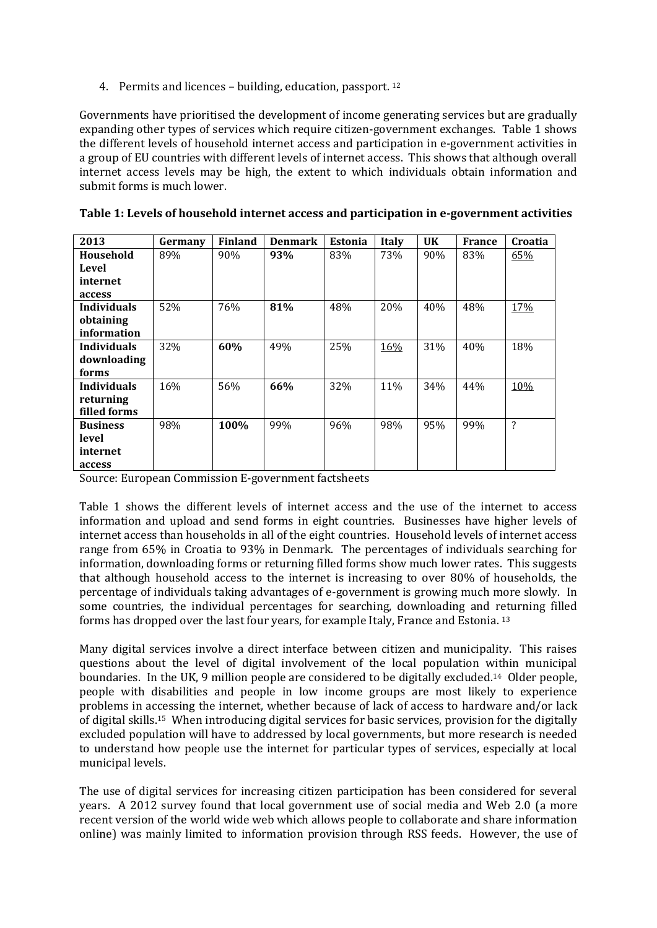4. Permits and licences – building, education, passport. <sup>12</sup>

Governments have prioritised the development of income generating services but are gradually expanding other types of services which require citizen-government exchanges. Table 1 shows the different levels of household internet access and participation in e-government activities in a group of EU countries with different levels of internet access. This shows that although overall internet access levels may be high, the extent to which individuals obtain information and submit forms is much lower.

| 2013               | Germany | <b>Finland</b> | <b>Denmark</b> | <b>Estonia</b> | <b>Italy</b> | UK  | <b>France</b> | Croatia |
|--------------------|---------|----------------|----------------|----------------|--------------|-----|---------------|---------|
| Household          | 89%     | 90%            | 93%            | 83%            | 73%          | 90% | 83%           | 65%     |
| Level              |         |                |                |                |              |     |               |         |
| internet           |         |                |                |                |              |     |               |         |
| access             |         |                |                |                |              |     |               |         |
| <b>Individuals</b> | 52%     | 76%            | 81%            | 48%            | 20%          | 40% | 48%           | 17%     |
| obtaining          |         |                |                |                |              |     |               |         |
| information        |         |                |                |                |              |     |               |         |
| <b>Individuals</b> | 32%     | 60%            | 49%            | 25%            | 16%          | 31% | 40%           | 18%     |
| downloading        |         |                |                |                |              |     |               |         |
| forms              |         |                |                |                |              |     |               |         |
| <b>Individuals</b> | 16%     | 56%            | 66%            | 32%            | 11%          | 34% | 44%           | 10%     |
| returning          |         |                |                |                |              |     |               |         |
| filled forms       |         |                |                |                |              |     |               |         |
| <b>Business</b>    | 98%     | 100%           | 99%            | 96%            | 98%          | 95% | 99%           | ?       |
| level              |         |                |                |                |              |     |               |         |
| internet           |         |                |                |                |              |     |               |         |
| access             |         |                |                |                |              |     |               |         |

| Table 1: Levels of household internet access and participation in e-government activities |  |  |
|-------------------------------------------------------------------------------------------|--|--|
|-------------------------------------------------------------------------------------------|--|--|

Source: European Commission E-government factsheets

Table 1 shows the different levels of internet access and the use of the internet to access information and upload and send forms in eight countries. Businesses have higher levels of internet access than households in all of the eight countries. Household levels of internet access range from 65% in Croatia to 93% in Denmark. The percentages of individuals searching for information, downloading forms or returning filled forms show much lower rates. This suggests that although household access to the internet is increasing to over 80% of households, the percentage of individuals taking advantages of e-government is growing much more slowly. In some countries, the individual percentages for searching, downloading and returning filled forms has dropped over the last four years, for example Italy, France and Estonia. <sup>13</sup>

Many digital services involve a direct interface between citizen and municipality. This raises questions about the level of digital involvement of the local population within municipal boundaries. In the UK, 9 million people are considered to be digitally excluded.14 Older people, people with disabilities and people in low income groups are most likely to experience problems in accessing the internet, whether because of lack of access to hardware and/or lack of digital skills.15 When introducing digital services for basic services, provision for the digitally excluded population will have to addressed by local governments, but more research is needed to understand how people use the internet for particular types of services, especially at local municipal levels.

The use of digital services for increasing citizen participation has been considered for several years. A 2012 survey found that local government use of social media and Web 2.0 (a more recent version of the world wide web which allows people to collaborate and share information online) was mainly limited to information provision through RSS feeds. However, the use of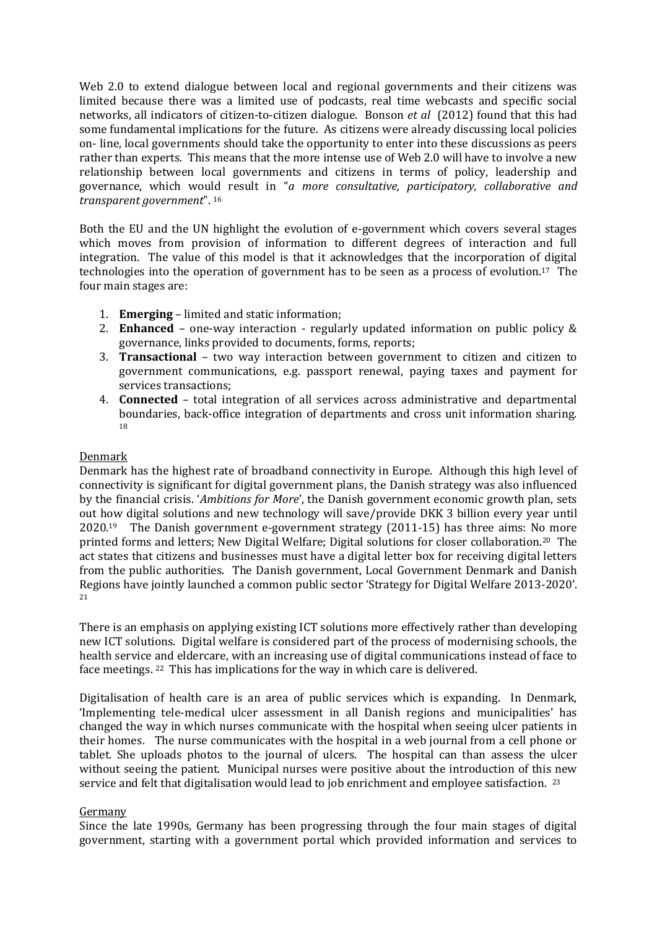Web 2.0 to extend dialogue between local and regional governments and their citizens was limited because there was a limited use of podcasts, real time webcasts and specific social networks, all indicators of citizen-to-citizen dialogue. Bonson *et al* (2012) found that this had some fundamental implications for the future. As citizens were already discussing local policies on- line, local governments should take the opportunity to enter into these discussions as peers rather than experts. This means that the more intense use of Web 2.0 will have to involve a new relationship between local governments and citizens in terms of policy, leadership and governance, which would result in "*a more consultative, participatory, collaborative and transparent government*". <sup>16</sup>

Both the EU and the UN highlight the evolution of e-government which covers several stages which moves from provision of information to different degrees of interaction and full integration. The value of this model is that it acknowledges that the incorporation of digital technologies into the operation of government has to be seen as a process of evolution.17 The four main stages are:

- 1. **Emerging** limited and static information;
- 2. **Enhanced** one-way interaction regularly updated information on public policy & governance, links provided to documents, forms, reports;
- 3. **Transactional** two way interaction between government to citizen and citizen to government communications, e.g. passport renewal, paying taxes and payment for services transactions;
- 4. **Connected** total integration of all services across administrative and departmental boundaries, back-office integration of departments and cross unit information sharing. 18

#### Denmark

Denmark has the highest rate of broadband connectivity in Europe. Although this high level of connectivity is significant for digital government plans, the Danish strategy was also influenced by the financial crisis. '*Ambitions for More*', the Danish government economic growth plan, sets out how digital solutions and new technology will save/provide DKK 3 billion every year until 2020.19 The Danish government e-government strategy (2011-15) has three aims: No more printed forms and letters; New Digital Welfare; Digital solutions for closer collaboration.20 The act states that citizens and businesses must have a digital letter box for receiving digital letters from the public authorities. The Danish government, Local Government Denmark and Danish Regions have jointly launched a common public sector 'Strategy for Digital Welfare 2013-2020'. 21

There is an emphasis on applying existing ICT solutions more effectively rather than developing new ICT solutions. Digital welfare is considered part of the process of modernising schools, the health service and eldercare, with an increasing use of digital communications instead of face to face meetings. 22 This has implications for the way in which care is delivered.

Digitalisation of health care is an area of public services which is expanding. In Denmark, 'Implementing tele-medical ulcer assessment in all Danish regions and municipalities' has changed the way in which nurses communicate with the hospital when seeing ulcer patients in their homes. The nurse communicates with the hospital in a web journal from a cell phone or tablet. She uploads photos to the journal of ulcers. The hospital can than assess the ulcer without seeing the patient. Municipal nurses were positive about the introduction of this new service and felt that digitalisation would lead to job enrichment and employee satisfaction. <sup>23</sup>

#### Germany

Since the late 1990s, Germany has been progressing through the four main stages of digital government, starting with a government portal which provided information and services to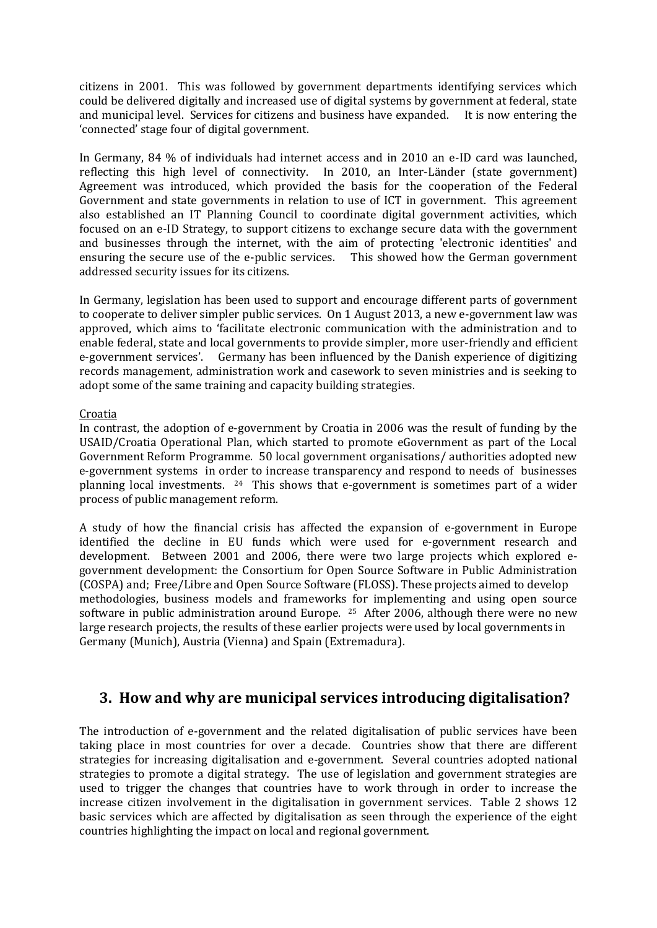citizens in 2001. This was followed by government departments identifying services which could be delivered digitally and increased use of digital systems by government at federal, state and municipal level. Services for citizens and business have expanded. It is now entering the 'connected' stage four of digital government.

In Germany, 84 % of individuals had internet access and in 2010 an e-ID card was launched, reflecting this high level of connectivity. In 2010, an Inter-Länder (state government) Agreement was introduced, which provided the basis for the cooperation of the Federal Government and state governments in relation to use of ICT in government. This agreement also established an IT Planning Council to coordinate digital government activities, which focused on an e-ID Strategy, to support citizens to exchange secure data with the government and businesses through the internet, with the aim of protecting 'electronic identities' and ensuring the secure use of the e-public services. This showed how the German government addressed security issues for its citizens.

In Germany, legislation has been used to support and encourage different parts of government to cooperate to deliver simpler public services. On 1 August 2013, a new e-government law was approved, which aims to 'facilitate electronic communication with the administration and to enable federal, state and local governments to provide simpler, more user-friendly and efficient e-government services'. Germany has been influenced by the Danish experience of digitizing records management, administration work and casework to seven ministries and is seeking to adopt some of the same training and capacity building strategies.

#### Croatia

In contrast, the adoption of e-government by Croatia in 2006 was the result of funding by the USAID/Croatia Operational Plan, which started to promote eGovernment as part of the Local Government Reform Programme. 50 local government organisations/ authorities adopted new e-government systems in order to increase transparency and respond to needs of businesses planning local investments. 24 This shows that e-government is sometimes part of a wider process of public management reform.

A study of how the financial crisis has affected the expansion of e-government in Europe identified the decline in EU funds which were used for e-government research and development. Between 2001 and 2006, there were two large projects which explored egovernment development: the Consortium for Open Source Software in Public Administration (COSPA) and; Free/Libre and Open Source Software (FLOSS). These projects aimed to develop methodologies, business models and frameworks for implementing and using open source software in public administration around Europe. <sup>25</sup> After 2006, although there were no new large research projects, the results of these earlier projects were used by local governments in Germany (Munich), Austria (Vienna) and Spain (Extremadura).

## <span id="page-6-0"></span>**3. How and why are municipal services introducing digitalisation?**

The introduction of e-government and the related digitalisation of public services have been taking place in most countries for over a decade. Countries show that there are different strategies for increasing digitalisation and e-government. Several countries adopted national strategies to promote a digital strategy. The use of legislation and government strategies are used to trigger the changes that countries have to work through in order to increase the increase citizen involvement in the digitalisation in government services. Table 2 shows 12 basic services which are affected by digitalisation as seen through the experience of the eight countries highlighting the impact on local and regional government.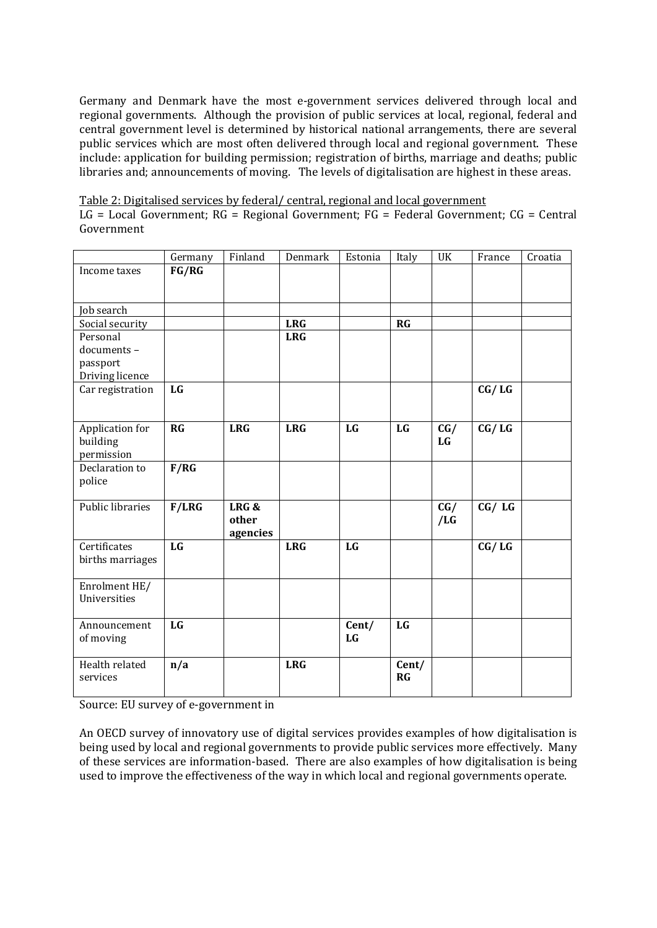Germany and Denmark have the most e-government services delivered through local and regional governments. Although the provision of public services at local, regional, federal and central government level is determined by historical national arrangements, there are several public services which are most often delivered through local and regional government. These include: application for building permission; registration of births, marriage and deaths; public libraries and; announcements of moving. The levels of digitalisation are highest in these areas.

|  | Table 2: Digitalised services by federal/central, regional and local government |
|--|---------------------------------------------------------------------------------|
|  |                                                                                 |

LG = Local Government; RG = Regional Government; FG = Federal Government; CG = Central Government

|                             | Germany   | Finland    | Denmark    | Estonia   | Italy | UK        | France  | Croatia |
|-----------------------------|-----------|------------|------------|-----------|-------|-----------|---------|---------|
| Income taxes                | FG/RG     |            |            |           |       |           |         |         |
|                             |           |            |            |           |       |           |         |         |
|                             |           |            |            |           |       |           |         |         |
| Job search                  |           |            |            |           |       |           |         |         |
| Social security             |           |            | <b>LRG</b> |           | RG    |           |         |         |
| Personal                    |           |            | <b>LRG</b> |           |       |           |         |         |
| documents-                  |           |            |            |           |       |           |         |         |
| passport                    |           |            |            |           |       |           |         |         |
| Driving licence             |           |            |            |           |       |           |         |         |
| Car registration            | <b>LG</b> |            |            |           |       |           | CG / LG |         |
|                             |           |            |            |           |       |           |         |         |
|                             | RG        | <b>LRG</b> | <b>LRG</b> | LG        | LG    |           | CG / LG |         |
| Application for<br>building |           |            |            |           |       | CG/<br>LG |         |         |
| permission                  |           |            |            |           |       |           |         |         |
| Declaration to              | F/RG      |            |            |           |       |           |         |         |
| police                      |           |            |            |           |       |           |         |         |
|                             |           |            |            |           |       |           |         |         |
| Public libraries            | F/LRG     | LRG&       |            |           |       | CG/       | CG / LG |         |
|                             |           | other      |            |           |       | /LG       |         |         |
|                             |           | agencies   |            |           |       |           |         |         |
| Certificates                | LG        |            | <b>LRG</b> | <b>LG</b> |       |           | CG / LG |         |
| births marriages            |           |            |            |           |       |           |         |         |
|                             |           |            |            |           |       |           |         |         |
| Enrolment HE/               |           |            |            |           |       |           |         |         |
| Universities                |           |            |            |           |       |           |         |         |
|                             |           |            |            |           |       |           |         |         |
| Announcement                | <b>LG</b> |            |            | Cent/     | LG    |           |         |         |
| of moving                   |           |            |            | LG        |       |           |         |         |
|                             |           |            |            |           |       |           |         |         |
| Health related              | n/a       |            | <b>LRG</b> |           | Cent/ |           |         |         |
| services                    |           |            |            |           | RG    |           |         |         |
|                             |           |            |            |           |       |           |         |         |

Source: EU survey of e-government in

An OECD survey of innovatory use of digital services provides examples of how digitalisation is being used by local and regional governments to provide public services more effectively. Many of these services are information-based. There are also examples of how digitalisation is being used to improve the effectiveness of the way in which local and regional governments operate.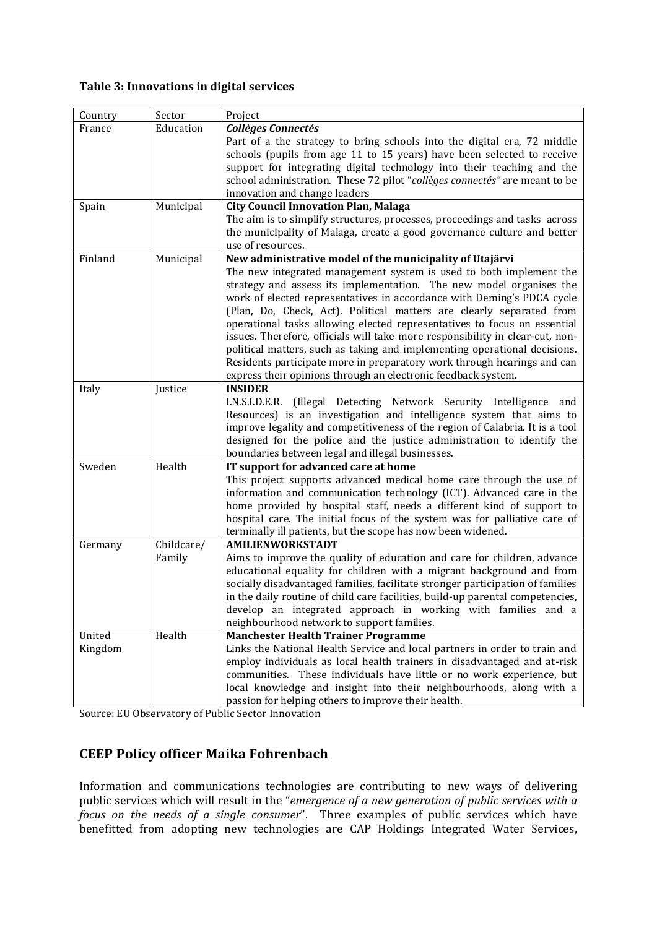#### **Table 3: Innovations in digital services**

| Country | Sector     | Project                                                                                                                                                    |
|---------|------------|------------------------------------------------------------------------------------------------------------------------------------------------------------|
| France  | Education  | <b>Collèges Connectés</b>                                                                                                                                  |
|         |            | Part of a the strategy to bring schools into the digital era, 72 middle                                                                                    |
|         |            | schools (pupils from age 11 to 15 years) have been selected to receive                                                                                     |
|         |            | support for integrating digital technology into their teaching and the                                                                                     |
|         |            | school administration. These 72 pilot "collèges connectés" are meant to be                                                                                 |
|         |            | innovation and change leaders                                                                                                                              |
| Spain   | Municipal  | <b>City Council Innovation Plan, Malaga</b>                                                                                                                |
|         |            | The aim is to simplify structures, processes, proceedings and tasks across                                                                                 |
|         |            | the municipality of Malaga, create a good governance culture and better                                                                                    |
|         |            | use of resources.                                                                                                                                          |
| Finland | Municipal  | New administrative model of the municipality of Utajärvi                                                                                                   |
|         |            | The new integrated management system is used to both implement the                                                                                         |
|         |            | strategy and assess its implementation. The new model organises the                                                                                        |
|         |            | work of elected representatives in accordance with Deming's PDCA cycle                                                                                     |
|         |            | (Plan, Do, Check, Act). Political matters are clearly separated from                                                                                       |
|         |            | operational tasks allowing elected representatives to focus on essential                                                                                   |
|         |            | issues. Therefore, officials will take more responsibility in clear-cut, non-<br>political matters, such as taking and implementing operational decisions. |
|         |            | Residents participate more in preparatory work through hearings and can                                                                                    |
|         |            | express their opinions through an electronic feedback system.                                                                                              |
| Italy   | Justice    | <b>INSIDER</b>                                                                                                                                             |
|         |            | I.N.S.I.D.E.R. (Illegal Detecting Network Security Intelligence and                                                                                        |
|         |            | Resources) is an investigation and intelligence system that aims to                                                                                        |
|         |            | improve legality and competitiveness of the region of Calabria. It is a tool                                                                               |
|         |            | designed for the police and the justice administration to identify the                                                                                     |
|         |            | boundaries between legal and illegal businesses.                                                                                                           |
| Sweden  | Health     | IT support for advanced care at home                                                                                                                       |
|         |            | This project supports advanced medical home care through the use of                                                                                        |
|         |            | information and communication technology (ICT). Advanced care in the                                                                                       |
|         |            | home provided by hospital staff, needs a different kind of support to                                                                                      |
|         |            | hospital care. The initial focus of the system was for palliative care of                                                                                  |
|         |            | terminally ill patients, but the scope has now been widened.                                                                                               |
| Germany | Childcare/ | <b>AMILIENWORKSTADT</b>                                                                                                                                    |
|         | Family     | Aims to improve the quality of education and care for children, advance                                                                                    |
|         |            | educational equality for children with a migrant background and from                                                                                       |
|         |            | socially disadvantaged families, facilitate stronger participation of families                                                                             |
|         |            | in the daily routine of child care facilities, build-up parental competencies,                                                                             |
|         |            | develop an integrated approach in working with families and a                                                                                              |
|         |            | neighbourhood network to support families.                                                                                                                 |
| United  | Health     | <b>Manchester Health Trainer Programme</b>                                                                                                                 |
| Kingdom |            | Links the National Health Service and local partners in order to train and                                                                                 |
|         |            | employ individuals as local health trainers in disadvantaged and at-risk                                                                                   |
|         |            | communities. These individuals have little or no work experience, but                                                                                      |
|         |            | local knowledge and insight into their neighbourhoods, along with a                                                                                        |
|         |            | passion for helping others to improve their health.                                                                                                        |

Source: EU Observatory of Public Sector Innovation

## <span id="page-8-0"></span>**CEEP Policy officer Maika Fohrenbach**

Information and communications technologies are contributing to new ways of delivering public services which will result in the "*emergence of a new generation of public services with a focus on the needs of a single consumer*". Three examples of public services which have benefitted from adopting new technologies are CAP Holdings Integrated Water Services,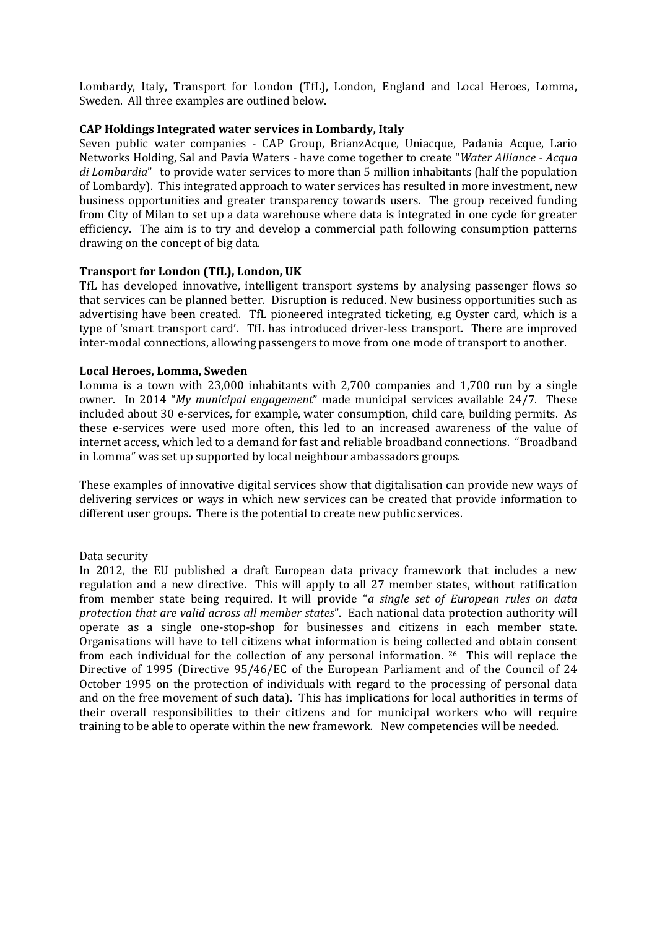Lombardy, Italy, Transport for London (TfL), London, England and Local Heroes, Lomma, Sweden. All three examples are outlined below.

#### **CAP Holdings Integrated water services in Lombardy, Italy**

Seven public water companies - CAP Group, BrianzAcque, Uniacque, Padania Acque, Lario Networks Holding, Sal and Pavia Waters - have come together to create "*Water Alliance - Acqua di Lombardia*" to provide water services to more than 5 million inhabitants (half the population of Lombardy). This integrated approach to water services has resulted in more investment, new business opportunities and greater transparency towards users. The group received funding from City of Milan to set up a data warehouse where data is integrated in one cycle for greater efficiency. The aim is to try and develop a commercial path following consumption patterns drawing on the concept of big data.

#### **Transport for London (TfL), London, UK**

TfL has developed innovative, intelligent transport systems by analysing passenger flows so that services can be planned better. Disruption is reduced. New business opportunities such as advertising have been created. TfL pioneered integrated ticketing, e.g Oyster card, which is a type of 'smart transport card'. TfL has introduced driver-less transport. There are improved inter-modal connections, allowing passengers to move from one mode of transport to another.

#### **Local Heroes, Lomma, Sweden**

Lomma is a town with 23,000 inhabitants with 2,700 companies and 1,700 run by a single owner. In 2014 "*My municipal engagement*" made municipal services available 24/7. These included about 30 e-services, for example, water consumption, child care, building permits. As these e-services were used more often, this led to an increased awareness of the value of internet access, which led to a demand for fast and reliable broadband connections. "Broadband in Lomma" was set up supported by local neighbour ambassadors groups.

These examples of innovative digital services show that digitalisation can provide new ways of delivering services or ways in which new services can be created that provide information to different user groups. There is the potential to create new public services.

#### Data security

In 2012, the EU published a draft European data privacy framework that includes a new regulation and a new directive. This will apply to all 27 member states, without ratification from member state being required. It will provide "*a single set of European rules on data protection that are valid across all member states*". Each national data protection authority will operate as a single one-stop-shop for businesses and citizens in each member state. Organisations will have to tell citizens what information is being collected and obtain consent from each individual for the collection of any personal information. 26 This will replace the Directive of 1995 (Directive 95/46/EC of the European Parliament and of the Council of 24 October 1995 on the protection of individuals with regard to the processing of personal data and on the free movement of such data). This has implications for local authorities in terms of their overall responsibilities to their citizens and for municipal workers who will require training to be able to operate within the new framework. New competencies will be needed.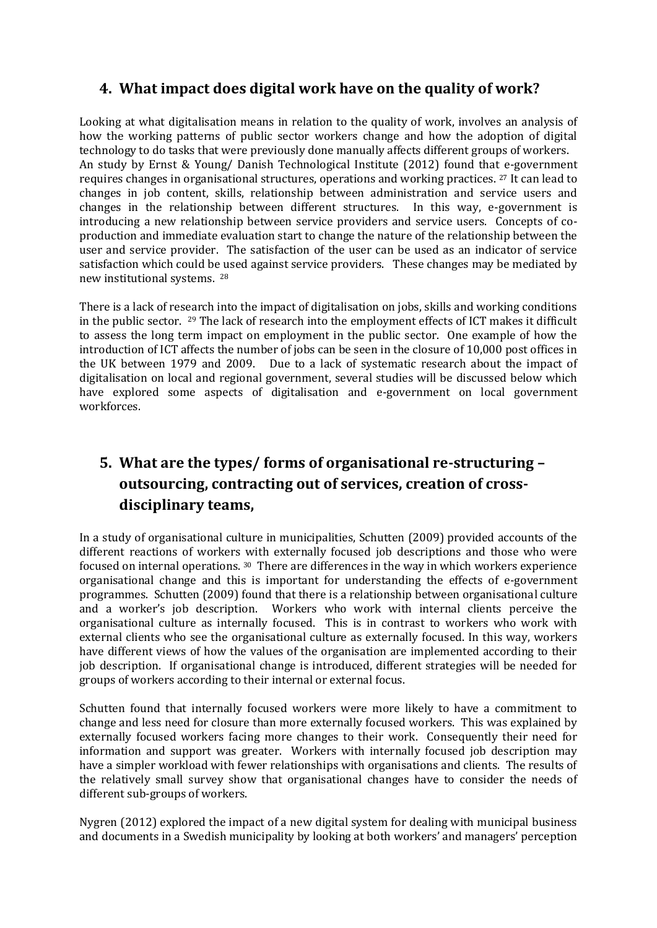# <span id="page-10-0"></span>**4. What impact does digital work have on the quality of work?**

Looking at what digitalisation means in relation to the quality of work, involves an analysis of how the working patterns of public sector workers change and how the adoption of digital technology to do tasks that were previously done manually affects different groups of workers. An study by Ernst & Young/ Danish Technological Institute (2012) found that e-government requires changes in organisational structures, operations and working practices. <sup>27</sup> It can lead to changes in job content, skills, relationship between administration and service users and changes in the relationship between different structures. In this way, e-government is introducing a new relationship between service providers and service users. Concepts of coproduction and immediate evaluation start to change the nature of the relationship between the user and service provider. The satisfaction of the user can be used as an indicator of service satisfaction which could be used against service providers. These changes may be mediated by new institutional systems. 28

There is a lack of research into the impact of digitalisation on jobs, skills and working conditions in the public sector. <sup>29</sup> The lack of research into the employment effects of ICT makes it difficult to assess the long term impact on employment in the public sector. One example of how the introduction of ICT affects the number of jobs can be seen in the closure of 10,000 post offices in the UK between 1979 and 2009. Due to a lack of systematic research about the impact of digitalisation on local and regional government, several studies will be discussed below which have explored some aspects of digitalisation and e-government on local government workforces.

# <span id="page-10-1"></span>**5. What are the types/ forms of organisational re-structuring – outsourcing, contracting out of services, creation of crossdisciplinary teams,**

In a study of organisational culture in municipalities, Schutten (2009) provided accounts of the different reactions of workers with externally focused job descriptions and those who were focused on internal operations. 30 There are differences in the way in which workers experience organisational change and this is important for understanding the effects of e-government programmes. Schutten (2009) found that there is a relationship between organisational culture and a worker's job description. Workers who work with internal clients perceive the organisational culture as internally focused. This is in contrast to workers who work with external clients who see the organisational culture as externally focused. In this way, workers have different views of how the values of the organisation are implemented according to their job description. If organisational change is introduced, different strategies will be needed for groups of workers according to their internal or external focus.

Schutten found that internally focused workers were more likely to have a commitment to change and less need for closure than more externally focused workers. This was explained by externally focused workers facing more changes to their work. Consequently their need for information and support was greater. Workers with internally focused job description may have a simpler workload with fewer relationships with organisations and clients. The results of the relatively small survey show that organisational changes have to consider the needs of different sub-groups of workers.

Nygren (2012) explored the impact of a new digital system for dealing with municipal business and documents in a Swedish municipality by looking at both workers' and managers' perception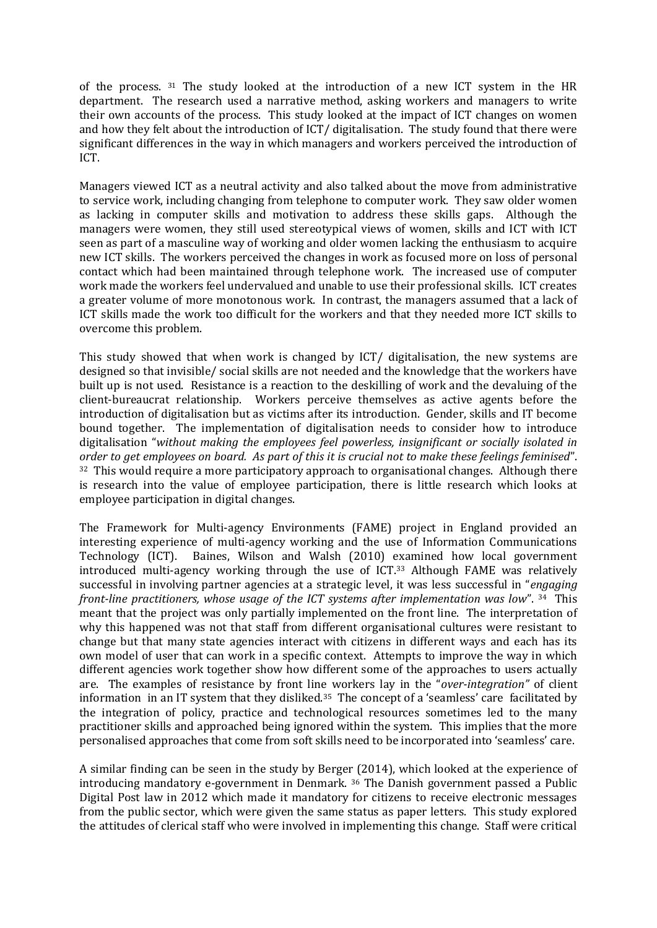of the process. <sup>31</sup> The study looked at the introduction of a new ICT system in the HR department. The research used a narrative method, asking workers and managers to write their own accounts of the process. This study looked at the impact of ICT changes on women and how they felt about the introduction of ICT/ digitalisation. The study found that there were significant differences in the way in which managers and workers perceived the introduction of ICT.

Managers viewed ICT as a neutral activity and also talked about the move from administrative to service work, including changing from telephone to computer work. They saw older women as lacking in computer skills and motivation to address these skills gaps. Although the managers were women, they still used stereotypical views of women, skills and ICT with ICT seen as part of a masculine way of working and older women lacking the enthusiasm to acquire new ICT skills. The workers perceived the changes in work as focused more on loss of personal contact which had been maintained through telephone work. The increased use of computer work made the workers feel undervalued and unable to use their professional skills. ICT creates a greater volume of more monotonous work. In contrast, the managers assumed that a lack of ICT skills made the work too difficult for the workers and that they needed more ICT skills to overcome this problem.

This study showed that when work is changed by ICT/ digitalisation, the new systems are designed so that invisible/ social skills are not needed and the knowledge that the workers have built up is not used. Resistance is a reaction to the deskilling of work and the devaluing of the client-bureaucrat relationship. Workers perceive themselves as active agents before the introduction of digitalisation but as victims after its introduction. Gender, skills and IT become bound together. The implementation of digitalisation needs to consider how to introduce digitalisation "*without making the employees feel powerless, insignificant or socially isolated in order to get employees on board. As part of this it is crucial not to make these feelings feminised*". <sup>32</sup> This would require a more participatory approach to organisational changes. Although there is research into the value of employee participation, there is little research which looks at employee participation in digital changes.

The Framework for Multi-agency Environments (FAME) project in England provided an interesting experience of multi-agency working and the use of Information Communications Technology (ICT). Baines, Wilson and Walsh (2010) examined how local government introduced multi-agency working through the use of ICT.<sup>33</sup> Although FAME was relatively successful in involving partner agencies at a strategic level, it was less successful in "*engaging front-line practitioners, whose usage of the ICT systems after implementation was low*". 34 This meant that the project was only partially implemented on the front line. The interpretation of why this happened was not that staff from different organisational cultures were resistant to change but that many state agencies interact with citizens in different ways and each has its own model of user that can work in a specific context. Attempts to improve the way in which different agencies work together show how different some of the approaches to users actually are. The examples of resistance by front line workers lay in the "*over-integration"* of client information in an IT system that they disliked.<sup>35</sup> The concept of a 'seamless' care facilitated by the integration of policy, practice and technological resources sometimes led to the many practitioner skills and approached being ignored within the system. This implies that the more personalised approaches that come from soft skills need to be incorporated into 'seamless' care.

A similar finding can be seen in the study by Berger (2014), which looked at the experience of introducing mandatory e-government in Denmark. <sup>36</sup> The Danish government passed a Public Digital Post law in 2012 which made it mandatory for citizens to receive electronic messages from the public sector, which were given the same status as paper letters. This study explored the attitudes of clerical staff who were involved in implementing this change. Staff were critical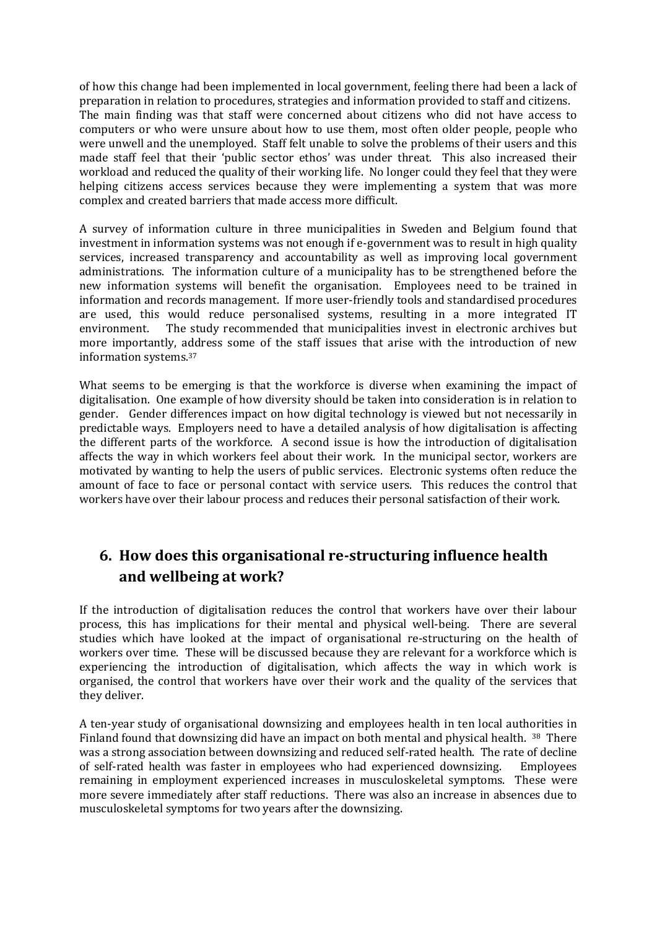of how this change had been implemented in local government, feeling there had been a lack of preparation in relation to procedures, strategies and information provided to staff and citizens. The main finding was that staff were concerned about citizens who did not have access to computers or who were unsure about how to use them, most often older people, people who were unwell and the unemployed. Staff felt unable to solve the problems of their users and this made staff feel that their 'public sector ethos' was under threat. This also increased their workload and reduced the quality of their working life. No longer could they feel that they were helping citizens access services because they were implementing a system that was more complex and created barriers that made access more difficult.

A survey of information culture in three municipalities in Sweden and Belgium found that investment in information systems was not enough if e-government was to result in high quality services, increased transparency and accountability as well as improving local government administrations. The information culture of a municipality has to be strengthened before the new information systems will benefit the organisation. Employees need to be trained in information and records management. If more user-friendly tools and standardised procedures are used, this would reduce personalised systems, resulting in a more integrated IT environment. The study recommended that municipalities invest in electronic archives but more importantly, address some of the staff issues that arise with the introduction of new information systems.<sup>37</sup>

What seems to be emerging is that the workforce is diverse when examining the impact of digitalisation. One example of how diversity should be taken into consideration is in relation to gender. Gender differences impact on how digital technology is viewed but not necessarily in predictable ways. Employers need to have a detailed analysis of how digitalisation is affecting the different parts of the workforce. A second issue is how the introduction of digitalisation affects the way in which workers feel about their work. In the municipal sector, workers are motivated by wanting to help the users of public services. Electronic systems often reduce the amount of face to face or personal contact with service users. This reduces the control that workers have over their labour process and reduces their personal satisfaction of their work.

# <span id="page-12-0"></span>**6. How does this organisational re-structuring influence health and wellbeing at work?**

If the introduction of digitalisation reduces the control that workers have over their labour process, this has implications for their mental and physical well-being. There are several studies which have looked at the impact of organisational re-structuring on the health of workers over time. These will be discussed because they are relevant for a workforce which is experiencing the introduction of digitalisation, which affects the way in which work is organised, the control that workers have over their work and the quality of the services that they deliver.

A ten-year study of organisational downsizing and employees health in ten local authorities in Finland found that downsizing did have an impact on both mental and physical health. 38 There was a strong association between downsizing and reduced self-rated health. The rate of decline of self-rated health was faster in employees who had experienced downsizing. Employees remaining in employment experienced increases in musculoskeletal symptoms. These were more severe immediately after staff reductions. There was also an increase in absences due to musculoskeletal symptoms for two years after the downsizing.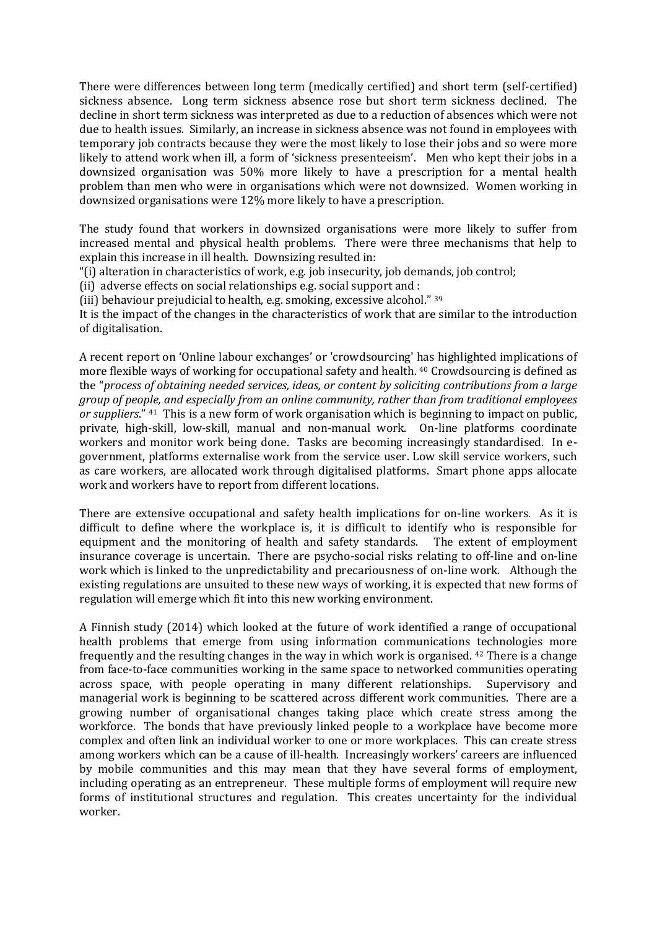There were differences between long term (medically certified) and short term (self-certified) sickness absence. Long term sickness absence rose but short term sickness declined. The decline in short term sickness was interpreted as due to a reduction of absences which were not due to health issues. Similarly, an increase in sickness absence was not found in employees with temporary job contracts because they were the most likely to lose their jobs and so were more likely to attend work when ill, a form of 'sickness presenteeism'. Men who kept their jobs in a downsized organisation was 50% more likely to have a prescription for a mental health problem than men who were in organisations which were not downsized. Women working in downsized organisations were 12% more likely to have a prescription.

The study found that workers in downsized organisations were more likely to suffer from increased mental and physical health problems. There were three mechanisms that help to explain this increase in ill health. Downsizing resulted in:

"(i) alteration in characteristics of work, e.g. job insecurity, job demands, job control;

(ii) adverse effects on social relationships e.g. social support and :

(iii) behaviour prejudicial to health, e.g. smoking, excessive alcohol." <sup>39</sup>

It is the impact of the changes in the characteristics of work that are similar to the introduction of digitalisation.

A recent report on 'Online labour exchanges' or 'crowdsourcing' has highlighted implications of more flexible ways of working for occupational safety and health. <sup>40</sup> Crowdsourcing is defined as the "*process of obtaining needed services, ideas, or content by soliciting contributions from a large group of people, and especially from an online community, rather than from traditional employees or suppliers*." 41 This is a new form of work organisation which is beginning to impact on public, private, high-skill, low-skill, manual and non-manual work. On-line platforms coordinate workers and monitor work being done. Tasks are becoming increasingly standardised. In egovernment, platforms externalise work from the service user. Low skill service workers, such as care workers, are allocated work through digitalised platforms. Smart phone apps allocate work and workers have to report from different locations.

There are extensive occupational and safety health implications for on-line workers. As it is difficult to define where the workplace is, it is difficult to identify who is responsible for equipment and the monitoring of health and safety standards. The extent of employment insurance coverage is uncertain. There are psycho-social risks relating to off-line and on-line work which is linked to the unpredictability and precariousness of on-line work. Although the existing regulations are unsuited to these new ways of working, it is expected that new forms of regulation will emerge which fit into this new working environment.

A Finnish study (2014) which looked at the future of work identified a range of occupational health problems that emerge from using information communications technologies more frequently and the resulting changes in the way in which work is organised. <sup>42</sup> There is a change from face-to-face communities working in the same space to networked communities operating across space, with people operating in many different relationships. Supervisory and managerial work is beginning to be scattered across different work communities. There are a growing number of organisational changes taking place which create stress among the workforce. The bonds that have previously linked people to a workplace have become more complex and often link an individual worker to one or more workplaces. This can create stress among workers which can be a cause of ill-health. Increasingly workers' careers are influenced by mobile communities and this may mean that they have several forms of employment, including operating as an entrepreneur. These multiple forms of employment will require new forms of institutional structures and regulation. This creates uncertainty for the individual worker.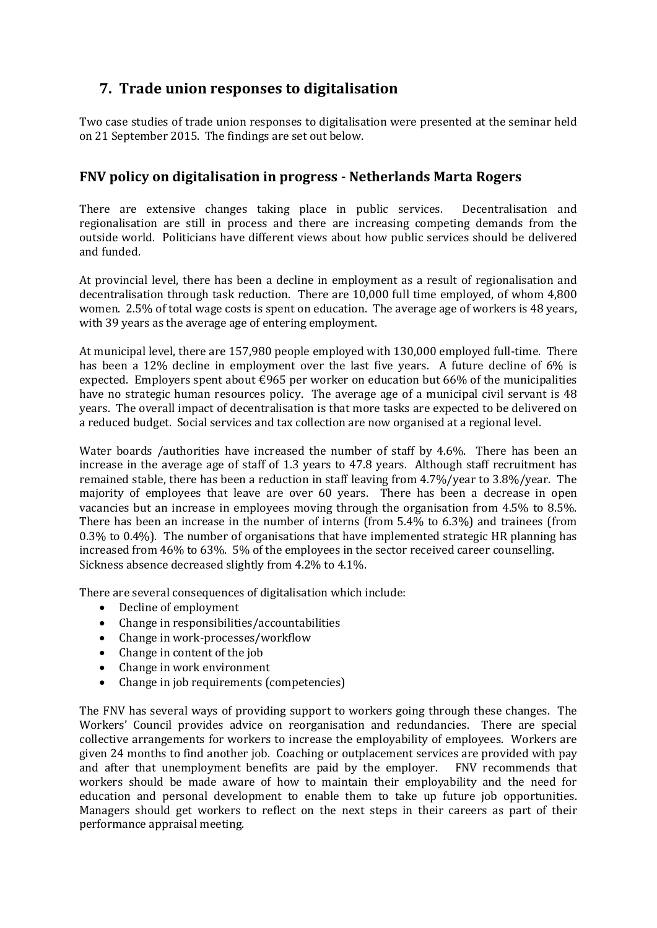# <span id="page-14-0"></span>**7. Trade union responses to digitalisation**

Two case studies of trade union responses to digitalisation were presented at the seminar held on 21 September 2015. The findings are set out below.

## <span id="page-14-1"></span>**FNV policy on digitalisation in progress - Netherlands Marta Rogers**

There are extensive changes taking place in public services. Decentralisation and regionalisation are still in process and there are increasing competing demands from the outside world. Politicians have different views about how public services should be delivered and funded.

At provincial level, there has been a decline in employment as a result of regionalisation and decentralisation through task reduction. There are 10,000 full time employed, of whom 4,800 women. 2.5% of total wage costs is spent on education. The average age of workers is 48 years, with 39 years as the average age of entering employment.

At municipal level, there are 157,980 people employed with 130,000 employed full-time. There has been a 12% decline in employment over the last five years. A future decline of 6% is expected. Employers spent about  $\epsilon$ 965 per worker on education but 66% of the municipalities have no strategic human resources policy. The average age of a municipal civil servant is 48 years. The overall impact of decentralisation is that more tasks are expected to be delivered on a reduced budget. Social services and tax collection are now organised at a regional level.

Water boards /authorities have increased the number of staff by 4.6%. There has been an increase in the average age of staff of 1.3 years to 47.8 years. Although staff recruitment has remained stable, there has been a reduction in staff leaving from 4.7%/year to 3.8%/year. The majority of employees that leave are over 60 years. There has been a decrease in open vacancies but an increase in employees moving through the organisation from 4.5% to 8.5%. There has been an increase in the number of interns (from 5.4% to 6.3%) and trainees (from 0.3% to 0.4%). The number of organisations that have implemented strategic HR planning has increased from 46% to 63%. 5% of the employees in the sector received career counselling. Sickness absence decreased slightly from 4.2% to 4.1%.

There are several consequences of digitalisation which include:

- Decline of employment
- Change in responsibilities/accountabilities
- Change in work-processes/workflow
- Change in content of the job
- Change in work environment
- Change in job requirements (competencies)

The FNV has several ways of providing support to workers going through these changes. The Workers' Council provides advice on reorganisation and redundancies. There are special collective arrangements for workers to increase the employability of employees. Workers are given 24 months to find another job. Coaching or outplacement services are provided with pay and after that unemployment benefits are paid by the employer. FNV recommends that workers should be made aware of how to maintain their employability and the need for education and personal development to enable them to take up future job opportunities. Managers should get workers to reflect on the next steps in their careers as part of their performance appraisal meeting.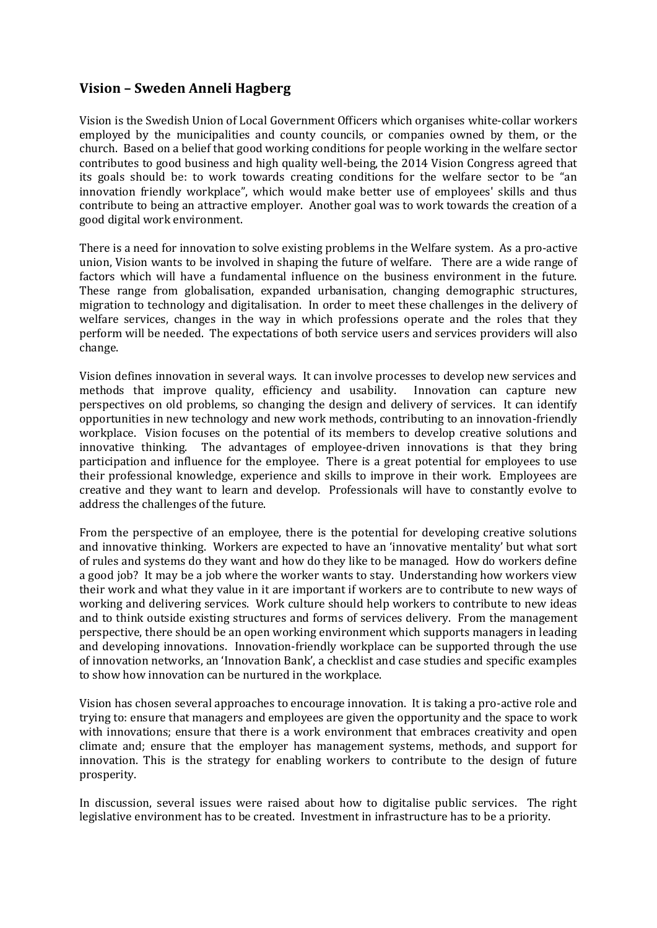### <span id="page-15-0"></span>**Vision – Sweden Anneli Hagberg**

Vision is the Swedish Union of Local Government Officers which organises white-collar workers employed by the municipalities and county councils, or companies owned by them, or the church. Based on a belief that good working conditions for people working in the welfare sector contributes to good business and high quality well-being, the 2014 Vision Congress agreed that its goals should be: to work towards creating conditions for the welfare sector to be "an innovation friendly workplace", which would make better use of employees' skills and thus contribute to being an attractive employer. Another goal was to work towards the creation of a good digital work environment.

There is a need for innovation to solve existing problems in the Welfare system. As a pro-active union, Vision wants to be involved in shaping the future of welfare. There are a wide range of factors which will have a fundamental influence on the business environment in the future. These range from globalisation, expanded urbanisation, changing demographic structures, migration to technology and digitalisation. In order to meet these challenges in the delivery of welfare services, changes in the way in which professions operate and the roles that they perform will be needed. The expectations of both service users and services providers will also change.

Vision defines innovation in several ways. It can involve processes to develop new services and methods that improve quality, efficiency and usability. Innovation can capture new perspectives on old problems, so changing the design and delivery of services. It can identify opportunities in new technology and new work methods, contributing to an innovation-friendly workplace. Vision focuses on the potential of its members to develop creative solutions and innovative thinking. The advantages of employee-driven innovations is that they bring participation and influence for the employee. There is a great potential for employees to use their professional knowledge, experience and skills to improve in their work. Employees are creative and they want to learn and develop. Professionals will have to constantly evolve to address the challenges of the future.

From the perspective of an employee, there is the potential for developing creative solutions and innovative thinking. Workers are expected to have an 'innovative mentality' but what sort of rules and systems do they want and how do they like to be managed. How do workers define a good job? It may be a job where the worker wants to stay. Understanding how workers view their work and what they value in it are important if workers are to contribute to new ways of working and delivering services. Work culture should help workers to contribute to new ideas and to think outside existing structures and forms of services delivery. From the management perspective, there should be an open working environment which supports managers in leading and developing innovations. Innovation-friendly workplace can be supported through the use of innovation networks, an 'Innovation Bank', a checklist and case studies and specific examples to show how innovation can be nurtured in the workplace.

Vision has chosen several approaches to encourage innovation. It is taking a pro-active role and trying to: ensure that managers and employees are given the opportunity and the space to work with innovations; ensure that there is a work environment that embraces creativity and open climate and; ensure that the employer has management systems, methods, and support for innovation. This is the strategy for enabling workers to contribute to the design of future prosperity.

In discussion, several issues were raised about how to digitalise public services. The right legislative environment has to be created. Investment in infrastructure has to be a priority.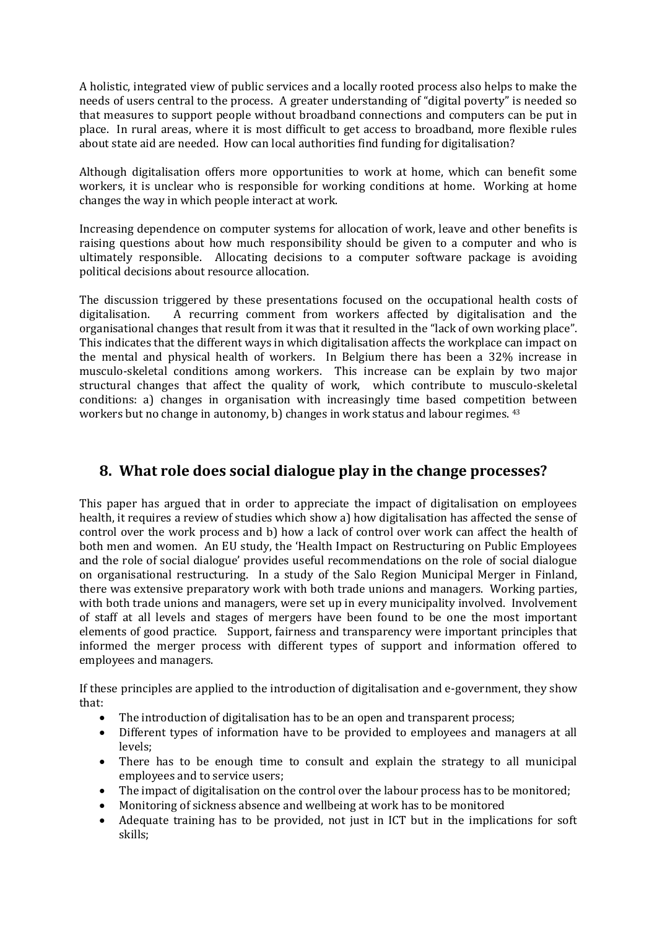A holistic, integrated view of public services and a locally rooted process also helps to make the needs of users central to the process. A greater understanding of "digital poverty" is needed so that measures to support people without broadband connections and computers can be put in place. In rural areas, where it is most difficult to get access to broadband, more flexible rules about state aid are needed. How can local authorities find funding for digitalisation?

Although digitalisation offers more opportunities to work at home, which can benefit some workers, it is unclear who is responsible for working conditions at home. Working at home changes the way in which people interact at work.

Increasing dependence on computer systems for allocation of work, leave and other benefits is raising questions about how much responsibility should be given to a computer and who is ultimately responsible. Allocating decisions to a computer software package is avoiding political decisions about resource allocation.

The discussion triggered by these presentations focused on the occupational health costs of digitalisation. A recurring comment from workers affected by digitalisation and the organisational changes that result from it was that it resulted in the "lack of own working place". This indicates that the different ways in which digitalisation affects the workplace can impact on the mental and physical health of workers. In Belgium there has been a 32% increase in musculo-skeletal conditions among workers. This increase can be explain by two major structural changes that affect the quality of work, which contribute to musculo-skeletal conditions: a) changes in organisation with increasingly time based competition between workers but no change in autonomy, b) changes in work status and labour regimes. <sup>43</sup>

## <span id="page-16-0"></span>**8. What role does social dialogue play in the change processes?**

This paper has argued that in order to appreciate the impact of digitalisation on employees health, it requires a review of studies which show a) how digitalisation has affected the sense of control over the work process and b) how a lack of control over work can affect the health of both men and women. An EU study, the 'Health Impact on Restructuring on Public Employees and the role of social dialogue' provides useful recommendations on the role of social dialogue on organisational restructuring. In a study of the Salo Region Municipal Merger in Finland, there was extensive preparatory work with both trade unions and managers. Working parties, with both trade unions and managers, were set up in every municipality involved. Involvement of staff at all levels and stages of mergers have been found to be one the most important elements of good practice. Support, fairness and transparency were important principles that informed the merger process with different types of support and information offered to employees and managers.

If these principles are applied to the introduction of digitalisation and e-government, they show that:

- The introduction of digitalisation has to be an open and transparent process;
- Different types of information have to be provided to employees and managers at all levels;
- There has to be enough time to consult and explain the strategy to all municipal employees and to service users;
- The impact of digitalisation on the control over the labour process has to be monitored;
- Monitoring of sickness absence and wellbeing at work has to be monitored
- Adequate training has to be provided, not just in ICT but in the implications for soft skills;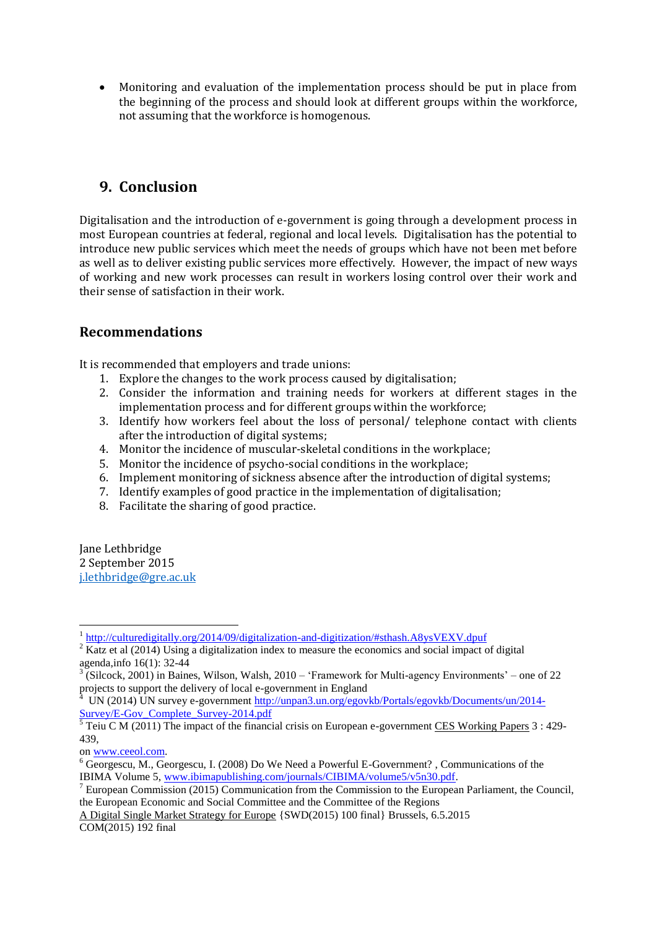Monitoring and evaluation of the implementation process should be put in place from the beginning of the process and should look at different groups within the workforce, not assuming that the workforce is homogenous.

# <span id="page-17-0"></span>**9. Conclusion**

Digitalisation and the introduction of e-government is going through a development process in most European countries at federal, regional and local levels. Digitalisation has the potential to introduce new public services which meet the needs of groups which have not been met before as well as to deliver existing public services more effectively. However, the impact of new ways of working and new work processes can result in workers losing control over their work and their sense of satisfaction in their work.

### <span id="page-17-1"></span>**Recommendations**

It is recommended that employers and trade unions:

- 1. Explore the changes to the work process caused by digitalisation;
- 2. Consider the information and training needs for workers at different stages in the implementation process and for different groups within the workforce;
- 3. Identify how workers feel about the loss of personal/ telephone contact with clients after the introduction of digital systems;
- 4. Monitor the incidence of muscular-skeletal conditions in the workplace;
- 5. Monitor the incidence of psycho-social conditions in the workplace;
- 6. Implement monitoring of sickness absence after the introduction of digital systems;
- 7. Identify examples of good practice in the implementation of digitalisation;
- 8. Facilitate the sharing of good practice.

Jane Lethbridge 2 September 2015 [j.lethbridge@gre.ac.uk](mailto:j.lethbridge@gre.ac.uk)

<sup>&</sup>lt;sup>1</sup> <http://culturedigitally.org/2014/09/digitalization-and-digitization/#sthash.A8ysVEXV.dpuf>

 $2 \times 2$  Katz et al (2014) Using a digitalization index to measure the economics and social impact of digital

agenda,info 16(1): 32-44<br><sup>3</sup> (Silcock, 2001) in Baines, Wilson, Walsh, 2010 – 'Framework for Multi-agency Environments' – one of 22 projects to support the delivery of local e-government in England<br><sup>4</sup> UN (2014) UN survey e-government [http://unpan3.un.org/egovkb/Portals/egovkb/Documents/un/2014-](http://unpan3.un.org/egovkb/Portals/egovkb/Documents/un/2014-Survey/E-Gov_Complete_Survey-2014.pdf)

[Survey/E-Gov\\_Complete\\_Survey-2014.pdf](http://unpan3.un.org/egovkb/Portals/egovkb/Documents/un/2014-Survey/E-Gov_Complete_Survey-2014.pdf)<br><sup>5</sup> Teiu C M (2011) The impact of the financial crisis on European e-government <u>CES Working Papers</u> 3 : 429-

<sup>439,</sup>

o[n www.ceeol.com.](http://www.ceeol.com/)

<sup>6</sup> Georgescu, M., Georgescu, I. (2008) Do We Need a Powerful E-Government? , Communications of the IBIMA Volume 5[, www.ibimapublishing.com/journals/CIBIMA/volume5/v5n30.pdf.](http://www.ibimapublishing.com/journals/CIBIMA/volume5/v5n30.pdf)

<sup>&</sup>lt;sup>7</sup> European Commission (2015) Communication from the Commission to the European Parliament, the Council, the European Economic and Social Committee and the Committee of the Regions

A Digital Single Market Strategy for Europe {SWD(2015) 100 final} Brussels, 6.5.2015 COM(2015) 192 final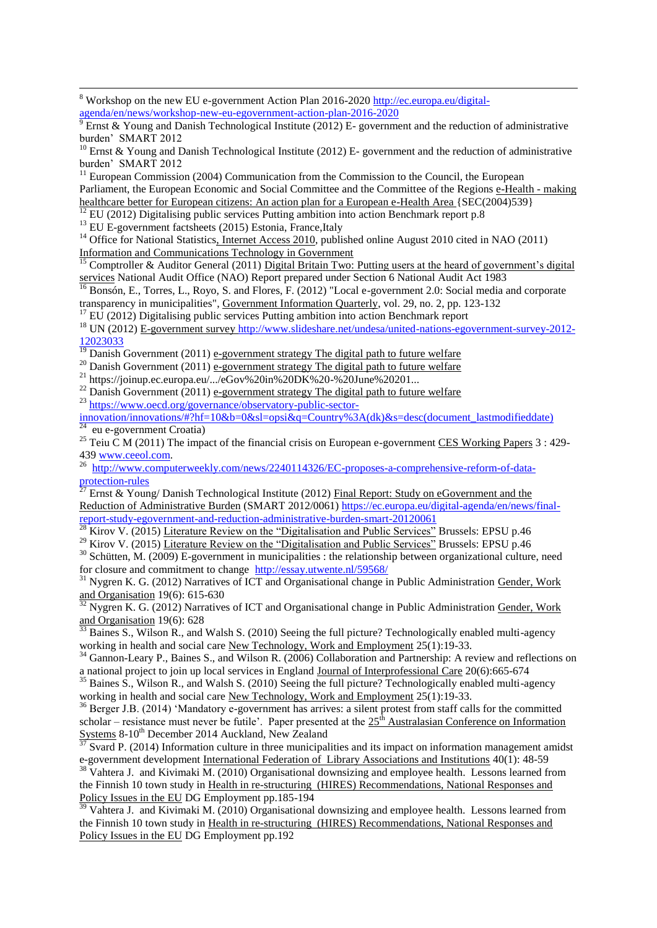<sup>8</sup> Workshop on the new EU e-government Action Plan 2016-2020 [http://ec.europa.eu/digital](http://ec.europa.eu/digital-agenda/en/news/workshop-new-eu-egovernment-action-plan-2016-2020)[agenda/en/news/workshop-new-eu-egovernment-action-plan-2016-2020](http://ec.europa.eu/digital-agenda/en/news/workshop-new-eu-egovernment-action-plan-2016-2020)

<sup>9</sup> Ernst & Young and Danish Technological Institute (2012) E- government and the reduction of administrative burden' SMART 2012

<sup>10</sup> Ernst & Young and Danish Technological Institute (2012) E- government and the reduction of administrative burden' SMART 2012

 $11$  European Commission (2004) Communication from the Commission to the Council, the European Parliament, the European Economic and Social Committee and the Committee of the Regions e-Health - making healthcare better for European citizens: An action plan for a European e-Health Area {SEC(2004)539}

 $\frac{12}{12}$  EU (2012) Digitalising public services Putting ambition into action Benchmark report p.8

 $^{13}$  EU E-government factsheets (2015) Estonia, France, Italy

1

<sup>14</sup> Office for National Statistics, Internet Access 2010, published online August 2010 cited in NAO (2011) Information and Communications Technology in Government

 $\frac{15}{15}$  Comptroller & Auditor General (2011) Digital Britain Two: Putting users at the heard of government's digital services National Audit Office (NAO) Report prepared under Section 6 National Audit Act 1983

<sup>16</sup> Bonsón, E., Torres, L., Royo, S. and Flores, F. (2012) "Local e-government 2.0: Social media and corporate transparency in municipalities", Government Information Quarterly, vol. 29, no. 2, pp. 123-132

<sup>17</sup> EU (2012) Digitalising public services Putting ambition into action Benchmark report

<sup>18</sup> UN (2012) E-government survey [http://www.slideshare.net/undesa/united-nations-egovernment-survey-2012-](http://www.slideshare.net/undesa/united-nations-egovernment-survey-2012-12023033) [12023033](http://www.slideshare.net/undesa/united-nations-egovernment-survey-2012-12023033)

 $\frac{19}{19}$  Danish Government (2011) e-government strategy The digital path to future welfare

<sup>20</sup> Danish Government (2011) e-government strategy The digital path to future welfare <sup>20</sup> Danish Government (2011) <u>e-government strategy The digital path to future welfare</u> <sup>21</sup> https://joinup.ec.europa.eu/.../eGov%20in%20DK%20-%20June%20201...

<sup>22</sup> Danish Government (2011) e-government strategy The digital path to future welfare <sup>23</sup> [https://www.oecd.org/governance/observatory-public-sector-](https://www.oecd.org/governance/observatory-public-sector-innovation/innovations/#?hf=10&b=0&sl=opsi&q=Country%3A(dk)&s=desc(document_lastmodifieddate))

[innovation/innovations/#?hf=10&b=0&sl=opsi&q=Country%3A\(dk\)&s=desc\(document\\_lastmodifieddate\)](https://www.oecd.org/governance/observatory-public-sector-innovation/innovations/#?hf=10&b=0&sl=opsi&q=Country%3A(dk)&s=desc(document_lastmodifieddate))<br><sup>24</sup> ay a severnment Greetie) eu e-government Croatia)

<sup>25</sup> Teiu C M (2011) The impact of the financial crisis on European e-government CES Working Papers 3 : 429-43[9 www.ceeol.com.](http://www.ceeol.com/)

<sup>26</sup> [http://www.computerweekly.com/news/2240114326/EC-proposes-a-comprehensive-reform-of-data](http://www.computerweekly.com/news/2240114326/EC-proposes-a-comprehensive-reform-of-data-protection-rules)[protection-rules](http://www.computerweekly.com/news/2240114326/EC-proposes-a-comprehensive-reform-of-data-protection-rules)

 $^{\overline{27}}$  Ernst & Young/ Danish Technological Institute (2012) Final Report: Study on eGovernment and the Reduction of Administrative Burden (SMART 2012/0061) [https://ec.europa.eu/digital-agenda/en/news/final](https://ec.europa.eu/digital-agenda/en/news/final-report-study-egovernment-and-reduction-administrative-burden-smart-20120061)[report-study-egovernment-and-reduction-administrative-burden-smart-20120061](https://ec.europa.eu/digital-agenda/en/news/final-report-study-egovernment-and-reduction-administrative-burden-smart-20120061)

<sup>28</sup> Kirov V. (2015) Literature Review on the "Digitalisation and Public Services" Brussels: EPSU p.46

 $29$  Kirov V. (2015) Literature Review on the "Digitalisation and Public Services" Brussels: EPSU p.46

 $30$  Schütten, M. (2009) E-government in municipalities : the relationship between organizational culture, need for closure and commitment to change <http://essay.utwente.nl/59568/>

 $31$  Nygren K. G. (2012) Narratives of ICT and Organisational change in Public Administration Gender, Work and Organisation 19(6): 615-630

Nygren K. G. (2012) Narratives of ICT and Organisational change in Public Administration Gender, Work and Organisation 19(6): 628

Baines S., Wilson R., and Walsh S. (2010) Seeing the full picture? Technologically enabled multi-agency working in health and social care New Technology, Work and Employment 25(1):19-33.

<sup>34</sup> Gannon-Leary P., Baines S., and Wilson R. (2006) Collaboration and Partnership: A review and reflections on a national project to join up local services in England Journal of Interprofessional Care 20(6):665-674

<sup>35</sup> Baines S., Wilson R., and Walsh S. (2010) Seeing the full picture? Technologically enabled multi-agency working in health and social care New Technology, Work and Employment 25(1):19-33.

<sup>36</sup> Berger J.B. (2014) 'Mandatory e-government has arrives: a silent protest from staff calls for the committed scholar – resistance must never be futile'. Paper presented at the  $25<sup>th</sup>$  Australasian Conference on Information Systems 8-10<sup>th</sup> December 2014 Auckland, New Zealand

 $37$  Svard P. (2014) Information culture in three municipalities and its impact on information management amidst e-government development International Federation of Library Associations and Institutions 40(1): 48-59

 $38$  Vahtera J. and Kivimaki M. (2010) Organisational downsizing and employee health. Lessons learned from the Finnish 10 town study in Health in re-structuring (HIRES) Recommendations, National Responses and Policy Issues in the EU DG Employment pp.185-194

Vahtera J. and Kivimaki M. (2010) Organisational downsizing and employee health. Lessons learned from the Finnish 10 town study in Health in re-structuring (HIRES) Recommendations, National Responses and Policy Issues in the EU DG Employment pp.192